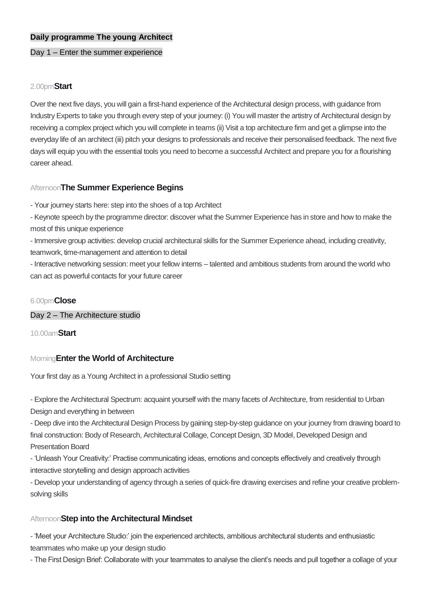#### **Daily programme The young Architect**

#### Day 1 – Enter the summer experience

#### 2.00pm**Start**

Over the next five days, you will gain a first-hand experience of the Architectural design process, with guidance from Industry Experts to take you through every step of your journey: (i) You will master the artistry of Architectural design by receiving a complex project which you will complete in teams (ii) Visit a top architecture firm and get a glimpse into the everyday life of an architect (iii) pitch your designs to professionals and receive their personalised feedback. The next five days will equip you with the essential tools you need to become a successful Architect and prepare you for a flourishing career ahead.

## Afternoon**The Summer Experience Begins**

- Your journey starts here: step into the shoes of a top Architect

- Keynote speech by the programme director: discover what the Summer Experience has in store and how to make the most of this unique experience

- Immersive group activities: develop crucial architectural skills for the Summer Experience ahead, including creativity, teamwork, time-management and attention to detail

- Interactive networking session: meet your fellow interns – talented and ambitious students from around the world who can act as powerful contacts for your future career

#### 6.00pm**Close**

Day 2 – The Architecture studio

10.00am**Start**

#### Morning**Enter the World of Architecture**

Your first day as a Young Architect in a professional Studio setting

- Explore the Architectural Spectrum: acquaint yourself with the many facets of Architecture, from residential to Urban Design and everything in between

- Deep dive into the Architectural Design Process by gaining step-by-step guidance on your journey from drawing board to final construction: Body of Research, Architectural Collage, Concept Design, 3D Model, Developed Design and Presentation Board

- 'Unleash Your Creativity:' Practise communicating ideas, emotions and concepts effectively and creatively through interactive storytelling and design approach activities

- Develop your understanding of agency through a series of quick-fire drawing exercises and refine your creative problemsolving skills

#### Afternoon**Step into the Architectural Mindset**

- 'Meet your Architecture Studio:' join the experienced architects, ambitious architectural students and enthusiastic teammates who make up your design studio

- The First Design Brief: Collaborate with your teammates to analyse the client's needs and pull together a collage of your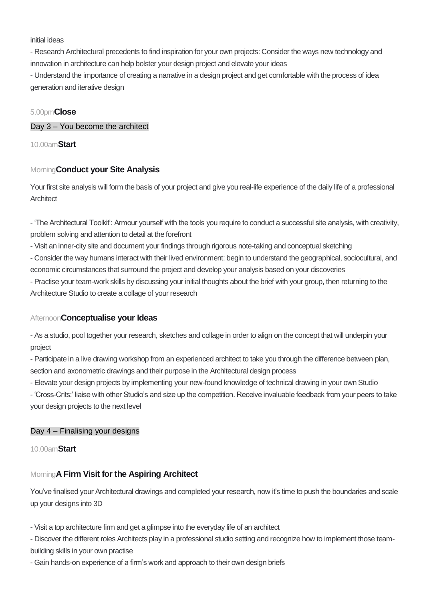#### initial ideas

- Research Architectural precedents to find inspiration for your own projects: Consider the ways new technology and innovation in architecture can help bolster your design project and elevate your ideas

- Understand the importance of creating a narrative in a design project and get comfortable with the process of idea generation and iterative design

## 5.00pm**Close**

Day 3 – You become the architect

10.00am**Start**

# Morning**Conduct your Site Analysis**

Your first site analysis will form the basis of your project and give you real-life experience of the daily life of a professional **Architect** 

- 'The Architectural Toolkit': Armour yourself with the tools you require to conduct a successful site analysis, with creativity, problem solving and attention to detail at the forefront

- Visit an inner-city site and document your findings through rigorous note-taking and conceptual sketching

- Consider the way humans interact with their lived environment: begin to understand the geographical, sociocultural, and economic circumstances that surround the project and develop your analysis based on your discoveries

- Practise your team-work skills by discussing your initial thoughts about the brief with your group, then returning to the Architecture Studio to create a collage of your research

# Afternoon**Conceptualise your Ideas**

- As a studio, pool together your research, sketches and collage in order to align on the concept that will underpin your project

- Participate in a live drawing workshop from an experienced architect to take you through the difference between plan, section and axonometric drawings and their purpose in the Architectural design process

- Elevate your design projects by implementing your new-found knowledge of technical drawing in your own Studio

- 'Cross-Crits:' liaise with other Studio's and size up the competition. Receive invaluable feedback from your peers to take your design projects to the next level

# Day 4 – Finalising your designs

10.00am**Start**

# Morning**A Firm Visit for the Aspiring Architect**

You've finalised your Architectural drawings and completed your research, now it's time to push the boundaries and scale up your designs into 3D

- Visit a top architecture firm and get a glimpse into the everyday life of an architect

- Discover the different roles Architects play in a professional studio setting and recognize how to implement those teambuilding skills in your own practise

- Gain hands-on experience of a firm's work and approach to their own design briefs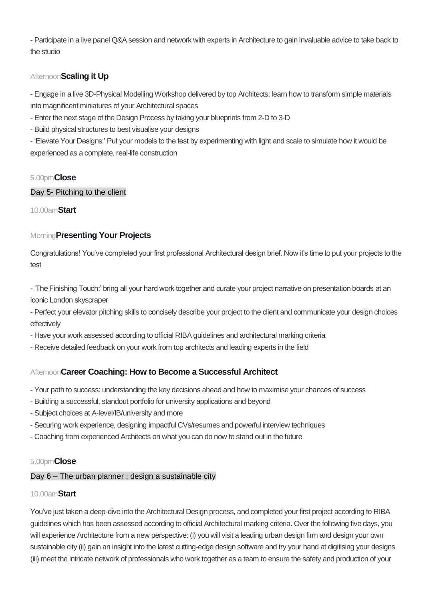- Participate in a live panel Q&A session and network with experts in Architecture to gain invaluable advice to take back to the studio

# Afternoon**Scaling it Up**

- Engage in a live 3D-Physical Modelling Workshop delivered by top Architects: learn how to transform simple materials into magnificent miniatures of your Architectural spaces

- Enter the next stage of the Design Process by taking your blueprints from 2-D to 3-D
- Build physical structures to best visualise your designs

- 'Elevate Your Designs:' Put your models to the test by experimenting with light and scale to simulate how it would be experienced as a complete, real-life construction

# 5.00pm**Close**

## Day 5- Pitching to the client

## 10.00am**Start**

# Morning**Presenting Your Projects**

Congratulations! You've completed your first professional Architectural design brief. Now it's time to put your projects to the test

- 'The Finishing Touch:' bring all your hard work together and curate your project narrative on presentation boards at an iconic London skyscraper

- Perfect your elevator pitching skills to concisely describe your project to the client and communicate your design choices effectively

- Have your work assessed according to official RIBA guidelines and architectural marking criteria

- Receive detailed feedback on your work from top architects and leading experts in the field

# Afternoon**Career Coaching: How to Become a Successful Architect**

- Your path to success: understanding the key decisions ahead and how to maximise your chances of success
- Building a successful, standout portfolio for university applications and beyond
- Subject choices at A-level/IB/university and more
- Securing work experience, designing impactful CVs/resumes and powerful interview techniques
- Coaching from experienced Architects on what you can do now to stand out in the future

#### 5.00pm**Close**

#### Day 6 – The urban planner : design a sustainable city

#### 10.00am**Start**

You've just taken a deep-dive into the Architectural Design process, and completed your first project according to RIBA guidelines which has been assessed according to official Architectural marking criteria. Over the following five days, you will experience Architecture from a new perspective: (i) you will visit a leading urban design firm and design your own sustainable city (ii) gain an insight into the latest cutting-edge design software and try your hand at digitising your designs (iii) meet the intricate network of professionals who work together as a team to ensure the safety and production of your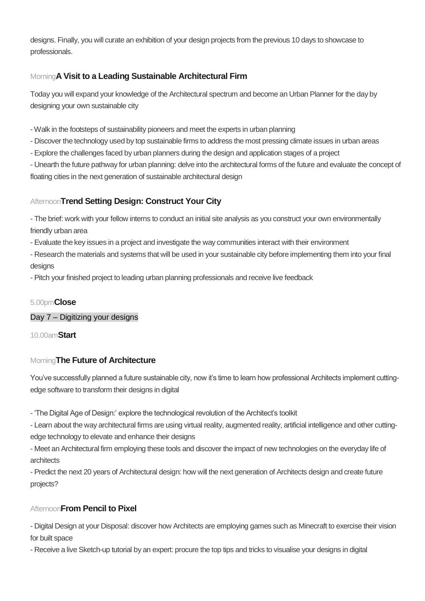designs. Finally, you will curate an exhibition of your design projects from the previous 10 days to showcase to professionals.

# Morning**A Visit to a Leading Sustainable Architectural Firm**

Today you will expand your knowledge of the Architectural spectrum and become an Urban Planner for the day by designing your own sustainable city

- Walk in the footsteps of sustainability pioneers and meet the experts in urban planning
- Discover the technology used by top sustainable firms to address the most pressing climate issues in urban areas
- Explore the challenges faced by urban planners during the design and application stages of a project

- Unearth the future pathway for urban planning: delve into the architectural forms of the future and evaluate the concept of floating cities in the next generation of sustainable architectural design

# Afternoon**Trend Setting Design: Construct Your City**

- The brief: work with your fellow interns to conduct an initial site analysis as you construct your own environmentally friendly urban area

- Evaluate the key issues in a project and investigate the way communities interact with their environment

- Research the materials and systems that will be used in your sustainable city before implementing them into your final designs

- Pitch your finished project to leading urban planning professionals and receive live feedback

# 5.00pm**Close**

Day 7 – Digitizing your designs

10.00am**Start**

# Morning**The Future of Architecture**

You've successfully planned a future sustainable city, now it's time to learn how professional Architects implement cuttingedge software to transform their designs in digital

- 'The Digital Age of Design:' explore the technological revolution of the Architect's toolkit

- Learn about the way architectural firms are using virtual reality, augmented reality, artificial intelligence and other cuttingedge technology to elevate and enhance their designs

- Meet an Architectural firm employing these tools and discover the impact of new technologies on the everyday life of architects

- Predict the next 20 years of Architectural design: how will the next generation of Architects design and create future projects?

# Afternoon**From Pencil to Pixel**

- Digital Design at your Disposal: discover how Architects are employing games such as Minecraft to exercise their vision for built space

- Receive a live Sketch-up tutorial by an expert: procure the top tips and tricks to visualise your designs in digital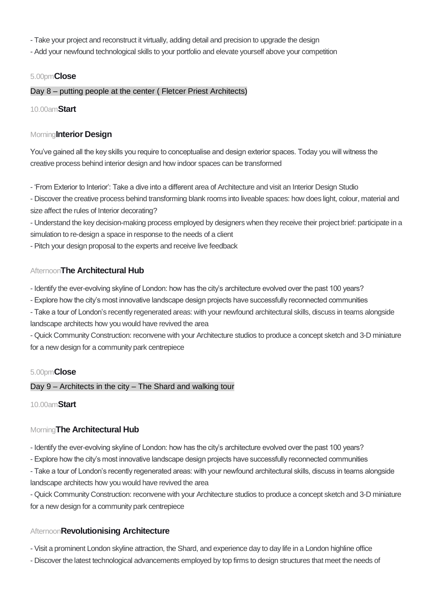- Take your project and reconstruct it virtually, adding detail and precision to upgrade the design

- Add your newfound technological skills to your portfolio and elevate yourself above your competition

#### 5.00pm**Close**

#### Day 8 – putting people at the center ( Fletcer Priest Architects)

10.00am**Start**

#### Morning**Interior Design**

You've gained all the key skills you require to conceptualise and design exterior spaces. Today you will witness the creative process behind interior design and how indoor spaces can be transformed

- 'From Exterior to Interior': Take a dive into a different area of Architecture and visit an Interior Design Studio

- Discover the creative process behind transforming blank rooms into liveable spaces: how does light, colour, material and size affect the rules of Interior decorating?

- Understand the key decision-making process employed by designers when they receive their project brief: participate in a simulation to re-design a space in response to the needs of a client

- Pitch your design proposal to the experts and receive live feedback

#### Afternoon**The Architectural Hub**

- Identify the ever-evolving skyline of London: how has the city's architecture evolved over the past 100 years?

- Explore how the city's most innovative landscape design projects have successfully reconnected communities

- Take a tour of London's recently regenerated areas: with your newfound architectural skills, discuss in teams alongside landscape architects how you would have revived the area

- Quick Community Construction: reconvene with your Architecture studios to produce a concept sketch and 3-D miniature for a new design for a community park centrepiece

#### 5.00pm**Close**

Day 9 – Architects in the city – The Shard and walking tour

10.00am**Start**

#### Morning**The Architectural Hub**

- Identify the ever-evolving skyline of London: how has the city's architecture evolved over the past 100 years?

- Explore how the city's most innovative landscape design projects have successfully reconnected communities

- Take a tour of London's recently regenerated areas: with your newfound architectural skills, discuss in teams alongside landscape architects how you would have revived the area

- Quick Community Construction: reconvene with your Architecture studios to produce a concept sketch and 3-D miniature for a new design for a community park centrepiece

#### Afternoon**Revolutionising Architecture**

- Visit a prominent London skyline attraction, the Shard, and experience day to day life in a London highline office

- Discover the latest technological advancements employed by top firms to design structures that meet the needs of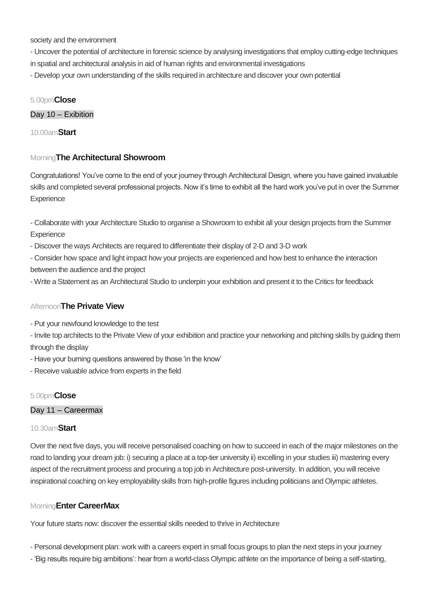society and the environment

- Uncover the potential of architecture in forensic science by analysing investigations that employ cutting-edge techniques in spatial and architectural analysis in aid of human rights and environmental investigations

- Develop your own understanding of the skills required in architecture and discover your own potential

#### 5.00pm**Close**

Day 10 – Exibition

10.00am**Start**

## Morning**The Architectural Showroom**

Congratulations! You've come to the end of your journey through Architectural Design, where you have gained invaluable skills and completed several professional projects. Now it's time to exhibit all the hard work you've put in over the Summer **Experience** 

- Collaborate with your Architecture Studio to organise a Showroom to exhibit all your design projects from the Summer **Experience** 

- Discover the ways Architects are required to differentiate their display of 2-D and 3-D work

- Consider how space and light impact how your projects are experienced and how best to enhance the interaction between the audience and the project

- Write a Statement as an Architectural Studio to underpin your exhibition and present it to the Critics for feedback

#### Afternoon**The Private View**

- Put your newfound knowledge to the test

- Invite top architects to the Private View of your exhibition and practice your networking and pitching skills by guiding them through the display

- Have your burning questions answered by those 'in the know'

- Receive valuable advice from experts in the field

#### 5.00pm**Close**

### Day 11 – Careermax

### 10.30am**Start**

Over the next five days, you will receive personalised coaching on how to succeed in each of the major milestones on the road to landing your dream job: i) securing a place at a top-tier university ii) excelling in your studies iii) mastering every aspect of the recruitment process and procuring a top job in Architecture post-university. In addition, you will receive inspirational coaching on key employability skills from high-profile figures including politicians and Olympic athletes.

#### Morning**Enter CareerMax**

Your future starts now: discover the essential skills needed to thrive in Architecture

- Personal development plan: work with a careers expert in small focus groups to plan the next steps in your journey
- 'Big results require big ambitions': hear from a world-class Olympic athlete on the importance of being a self-starting,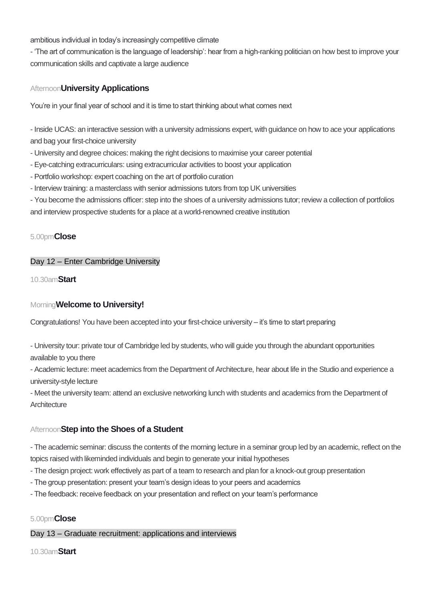ambitious individual in today's increasingly competitive climate

- 'The art of communication is the language of leadership': hear from a high-ranking politician on how best to improve your communication skills and captivate a large audience

## Afternoon**University Applications**

You're in your final year of school and it is time to start thinking about what comes next

- Inside UCAS: an interactive session with a university admissions expert, with guidance on how to ace your applications and bag your first-choice university

- University and degree choices: making the right decisions to maximise your career potential
- Eye-catching extracurriculars: using extracurricular activities to boost your application
- Portfolio workshop: expert coaching on the art of portfolio curation
- Interview training: a masterclass with senior admissions tutors from top UK universities

- You become the admissions officer: step into the shoes of a university admissions tutor; review a collection of portfolios and interview prospective students for a place at a world-renowned creative institution

#### 5.00pm**Close**

#### Day 12 – Enter Cambridge University

10.30am**Start**

## Morning**Welcome to University!**

Congratulations! You have been accepted into your first-choice university – it's time to start preparing

- University tour: private tour of Cambridge led by students, who will guide you through the abundant opportunities available to you there

- Academic lecture: meet academics from the Department of Architecture, hear about life in the Studio and experience a university-style lecture

- Meet the university team: attend an exclusive networking lunch with students and academics from the Department of **Architecture** 

#### Afternoon**Step into the Shoes of a Student**

- The academic seminar: discuss the contents of the morning lecture in a seminar group led by an academic, reflect on the topics raised with likeminded individuals and begin to generate your initial hypotheses

- The design project: work effectively as part of a team to research and plan for a knock-out group presentation
- The group presentation: present your team's design ideas to your peers and academics
- The feedback: receive feedback on your presentation and reflect on your team's performance

#### 5.00pm**Close**

#### Day 13 – Graduate recruitment: applications and interviews

10.30am**Start**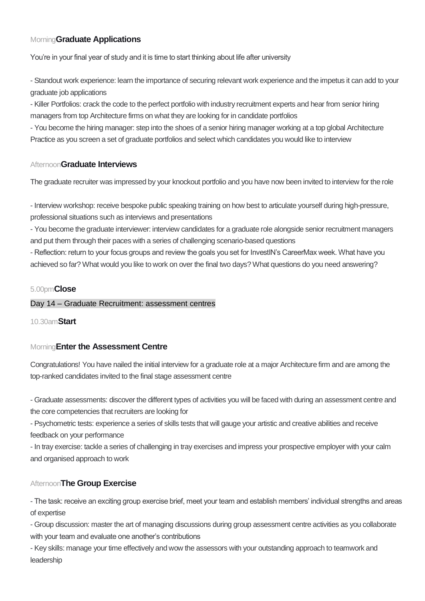# Morning**Graduate Applications**

You're in your final year of study and it is time to start thinking about life after university

- Standout work experience: learn the importance of securing relevant work experience and the impetus it can add to your graduate job applications

- Killer Portfolios: crack the code to the perfect portfolio with industry recruitment experts and hear from senior hiring managers from top Architecture firms on what they are looking for in candidate portfolios

- You become the hiring manager: step into the shoes of a senior hiring manager working at a top global Architecture Practice as you screen a set of graduate portfolios and select which candidates you would like to interview

#### Afternoon**Graduate Interviews**

The graduate recruiter was impressed by your knockout portfolio and you have now been invited to interview for the role

- Interview workshop: receive bespoke public speaking training on how best to articulate yourself during high-pressure, professional situations such as interviews and presentations

- You become the graduate interviewer: interview candidates for a graduate role alongside senior recruitment managers and put them through their paces with a series of challenging scenario-based questions

- Reflection: return to your focus groups and review the goals you set for InvestIN's CareerMax week. What have you achieved so far? What would you like to work on over the final two days? What questions do you need answering?

#### 5.00pm**Close**

#### Day 14 – Graduate Recruitment: assessment centres

10.30am**Start**

#### Morning**Enter the Assessment Centre**

Congratulations! You have nailed the initial interview for a graduate role at a major Architecture firm and are among the top-ranked candidates invited to the final stage assessment centre

- Graduate assessments: discover the different types of activities you will be faced with during an assessment centre and the core competencies that recruiters are looking for

- Psychometric tests: experience a series of skills tests that will gauge your artistic and creative abilities and receive feedback on your performance

- In tray exercise: tackle a series of challenging in tray exercises and impress your prospective employer with your calm and organised approach to work

#### Afternoon**The Group Exercise**

- The task: receive an exciting group exercise brief, meet your team and establish members' individual strengths and areas of expertise

- Group discussion: master the art of managing discussions during group assessment centre activities as you collaborate with your team and evaluate one another's contributions

- Key skills: manage your time effectively and wow the assessors with your outstanding approach to teamwork and leadership